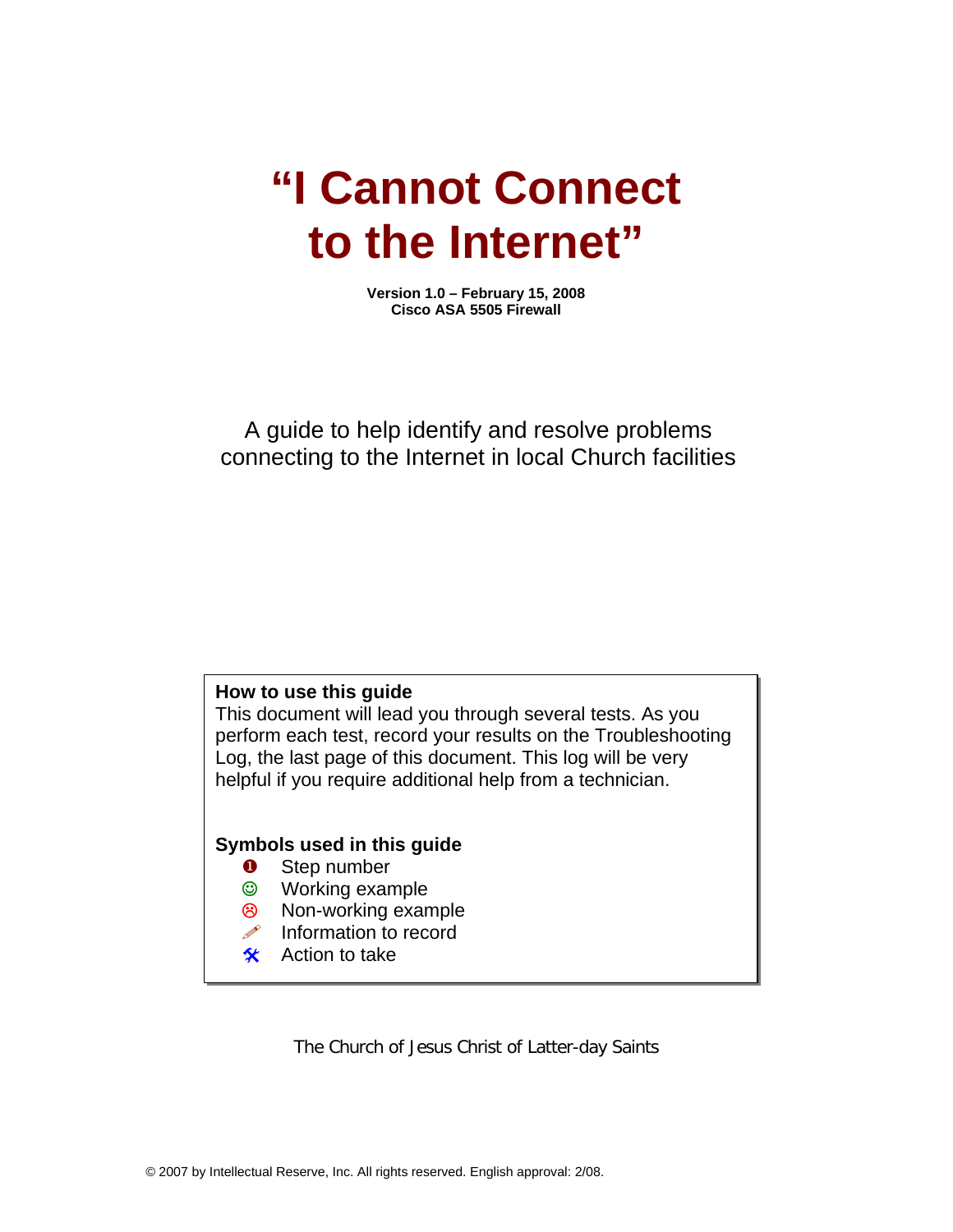# **"I Cannot Connect to the Internet"**

**Version 1.0 – February 15, 2008 Cisco ASA 5505 Firewall** 

# A guide to help identify and resolve problems connecting to the Internet in local Church facilities

# **How to use this guide**

This document will lead you through several tests. As you perform each test, record your results on the Troubleshooting Log, the last page of this document. This log will be very helpful if you require additional help from a technician.

## **Symbols used in this guide**

- **O** Step number
- ☺ Working example
- <sup>8</sup> Non-working example
- $\mathscr{P}$  Information to record
- $\frac{1}{2}$  Action to take

The Church of Jesus Christ of Latter-day Saints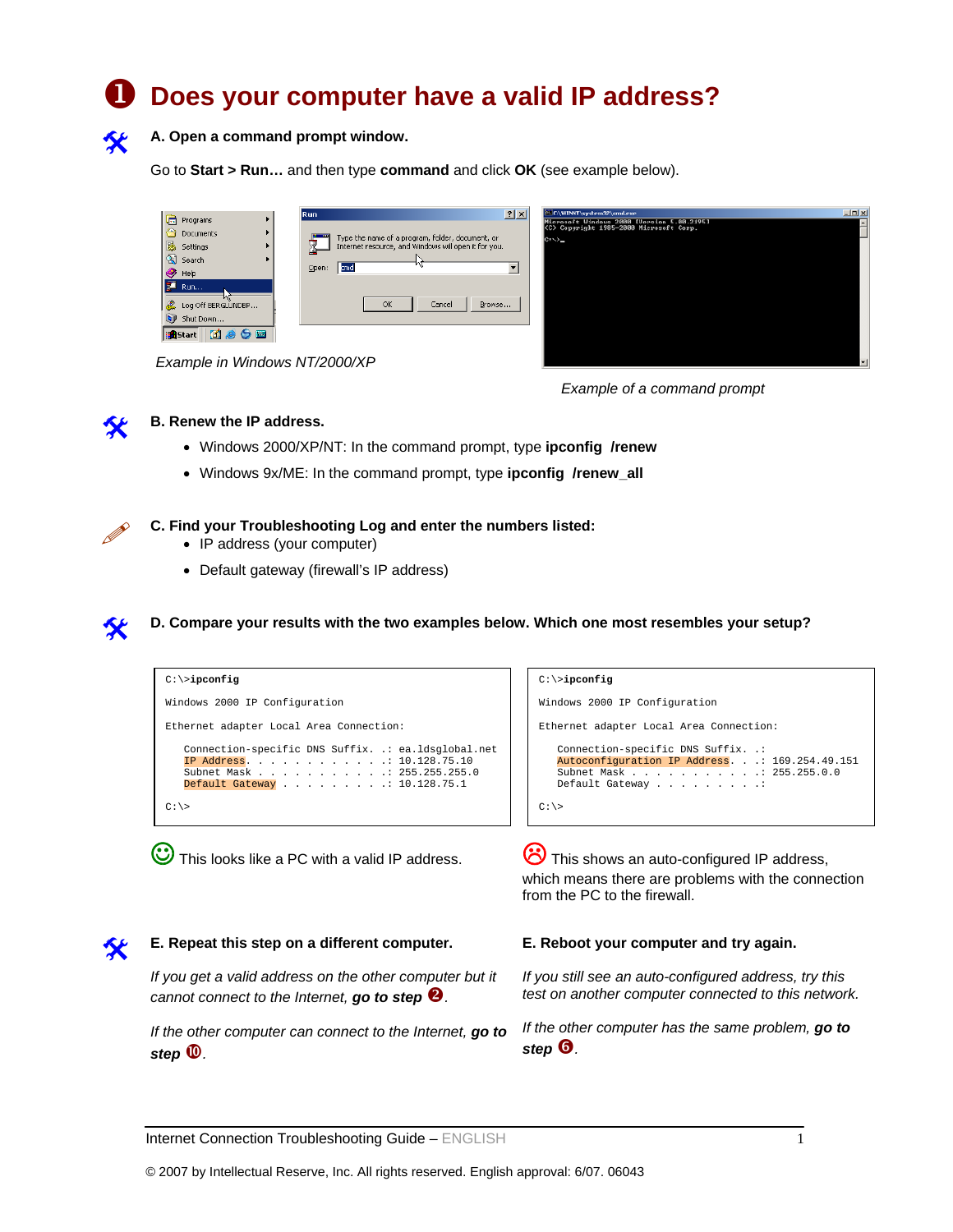# X **Does your computer have a valid IP address?**



A. Open a command prompt window.

Go to **Start > Run…** and then type **command** and click **OK** (see example below).

|                             | 23 E:\WINNT\system32\cmd.ese                                                                |
|-----------------------------|---------------------------------------------------------------------------------------------|
| ÷<br>Programs               | $2 \times$<br><b>Run</b><br>Microsoft Windows 2000 [Uersion 5.00.2195]                      |
| Documents                   | (C) Copyright 1985-2000 Microsoft Corp.<br>Type the name of a program, folder, document, or |
| 颰<br>Settings               | $C: \Diamond$<br>٣J<br>Internet resource, and Windows will open it for you.<br>Ш            |
| 喝<br>Search                 | n                                                                                           |
| Help                        | Open:<br>cmd                                                                                |
| <b>ST</b><br>Run            |                                                                                             |
| L<br>Log Off BERGLUNDBP     | OK<br>Cancel<br>Browse                                                                      |
| $\mathbf{D}$<br>Shut Down   |                                                                                             |
| 6 <sub>m</sub><br>le BStart |                                                                                             |
|                             |                                                                                             |

*Example in Windows NT/2000/XP* 





## **B. Renew the IP address.**

- Windows 2000/XP/NT: In the command prompt, type **ipconfig /renew**
- Windows 9x/ME: In the command prompt, type **ipconfig /renew\_all**

## **C. Find your Troubleshooting Log and enter the numbers listed:**

- IP address (your computer)
- Default gateway (firewall's IP address)





This looks like a PC with a valid IP address.  $\bullet$  This shows an auto-configured IP address, which means there are problems with the connection from the PC to the firewall.



# **E. Repeat this step on a different computer.**

*If you get a valid address on the other computer but it cannot connect to the Internet, go to step 2.* 

*If the other computer can connect to the Internet, go to*   $step \n\mathbf{\nabla}$ .

### **E. Reboot your computer and try again.**

*If you still see an auto-configured address, try this test on another computer connected to this network.* 

*If the other computer has the same problem, go to step* **<sup><b>o**<sub>*.*</sub></sup>

Internet Connection Troubleshooting Guide – ENGLISH 1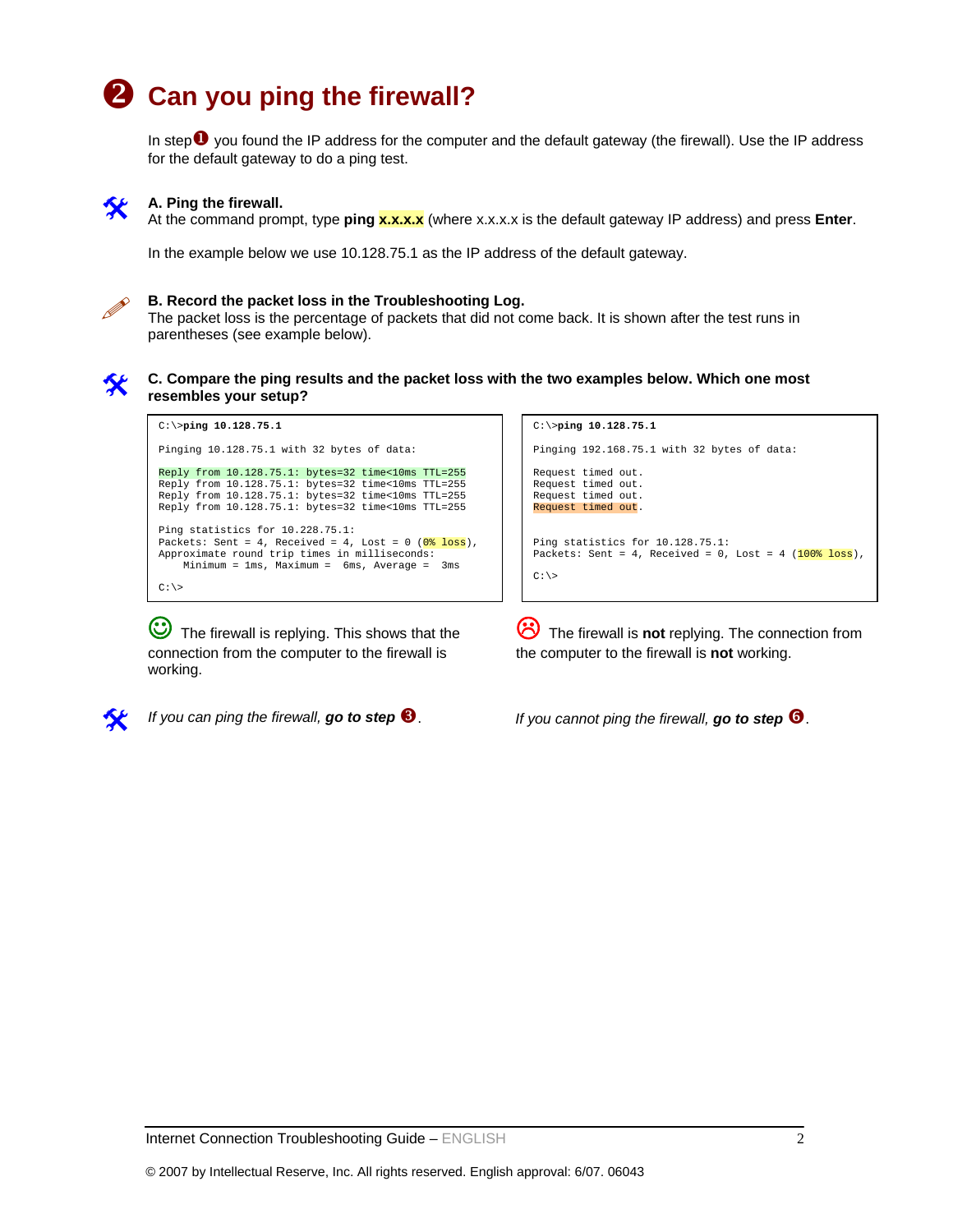# **2** Can you ping the firewall?

In step $\bullet$  you found the IP address for the computer and the default gateway (the firewall). Use the IP address for the default gateway to do a ping test.



# **A. Ping the firewall.**

At the command prompt, type **ping x.x.x.x** (where x.x.x.x is the default gateway IP address) and press **Enter**.

In the example below we use 10.128.75.1 as the IP address of the default gateway.

**B. Record the packet loss in the Troubleshooting Log.**<br>The packet loss is the percentage of packets that did not come back. It is shown after the test runs in parentheses (see example below).



### # **C. Compare the ping results and the packet loss with the two examples below. Which one most resembles your setup?**

C:\>**ping 10.128.75.1** Pinging 10.128.75.1 with 32 bytes of data: Reply from 10.128.75.1: bytes=32 time<10ms TTL=255 Reply from 10.128.75.1: bytes=32 time<10ms TTL=255 Reply from 10.128.75.1: bytes=32 time<10ms TTL=255 Reply from 10.128.75.1: bytes=32 time<10ms TTL=255 Ping statistics for 10.228.75.1: Packets: Sent = 4, Received = 4, Lost =  $0$  ( $0$ <sup>8</sup> loss), Approximate round trip times in milliseconds: Minimum = 1ms, Maximum = 6ms, Average = 3ms  $C:\backslash\gt$ 

The firewall is replying. This shows that the connection from the computer to the firewall is working.



Pinging 192.168.75.1 with 32 bytes of data: Request timed out. Request timed out. Request timed out. Request timed out. Ping statistics for 10.128.75.1: Packets: Sent = 4, Received = 0, Lost = 4  $(100\text{ s loss})$ ,  $C: \>$ 

C:\>**ping 10.128.75.1**

/ The firewall is **not** replying. The connection from the computer to the firewall is **not** working.

*If you can ping the firewall, go to step* <sup>3</sup>. *If you cannot ping the firewall, go to step* **3.**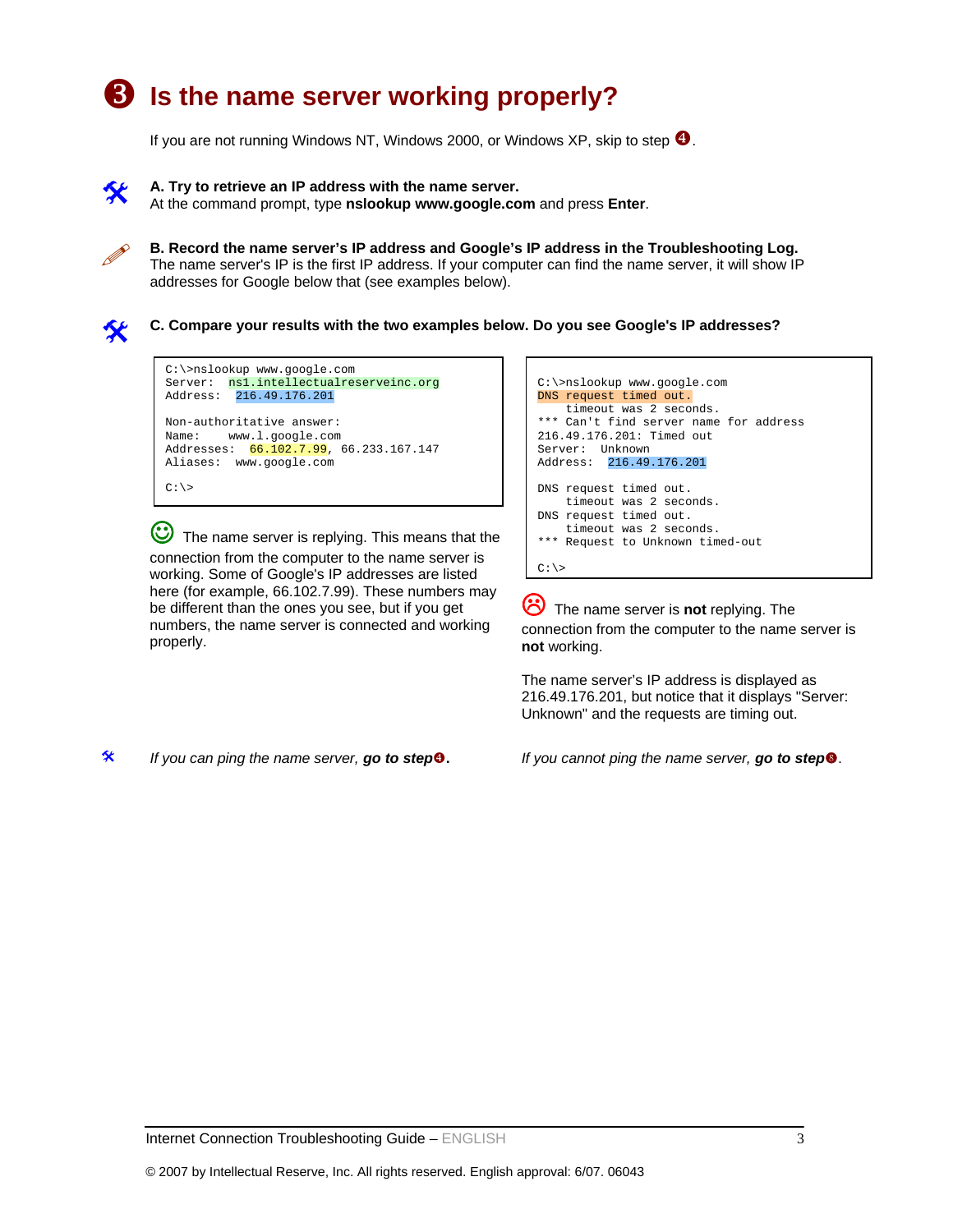# **B** Is the name server working properly?

If you are not running Windows NT, Windows 2000, or Windows XP, skip to step  $\bullet$ .

A. Try to retrieve an IP address with the name server.

At the command prompt, type **nslookup www.google.com** and press **Enter**.

B. Record the name server's IP address and Google's IP address in the Troubleshooting Log.<br>The name server's IP is the first IP address. If your computer can find the name server, it will show IP addresses for Google below that (see examples below).

# **C. Compare your results with the two examples below. Do you see Google's IP addresses?**



The name server is replying. This means that the connection from the computer to the name server is working. Some of Google's IP addresses are listed here (for example, 66.102.7.99). These numbers may be different than the ones you see, but if you get numbers, the name server is connected and working properly.

```
C:\>nslookup www.google.com 
DNS request timed out. 
    timeout was 2 seconds. 
*** Can't find server name for address 
216.49.176.201: Timed out 
Server: Unknown 
Address: 216.49.176.201 
DNS request timed out. 
    timeout was 2 seconds. 
DNS request timed out. 
     timeout was 2 seconds. 
*** Request to Unknown timed-out 
C:\&
```
/ The name server is **not** replying. The connection from the computer to the name server is **not** working.

The name server's IP address is displayed as 216.49.176.201, but notice that it displays "Server: Unknown" and the requests are timing out.

# *If you can ping the name server, go to step*[**.** *If you cannot ping the name server, go to step*u.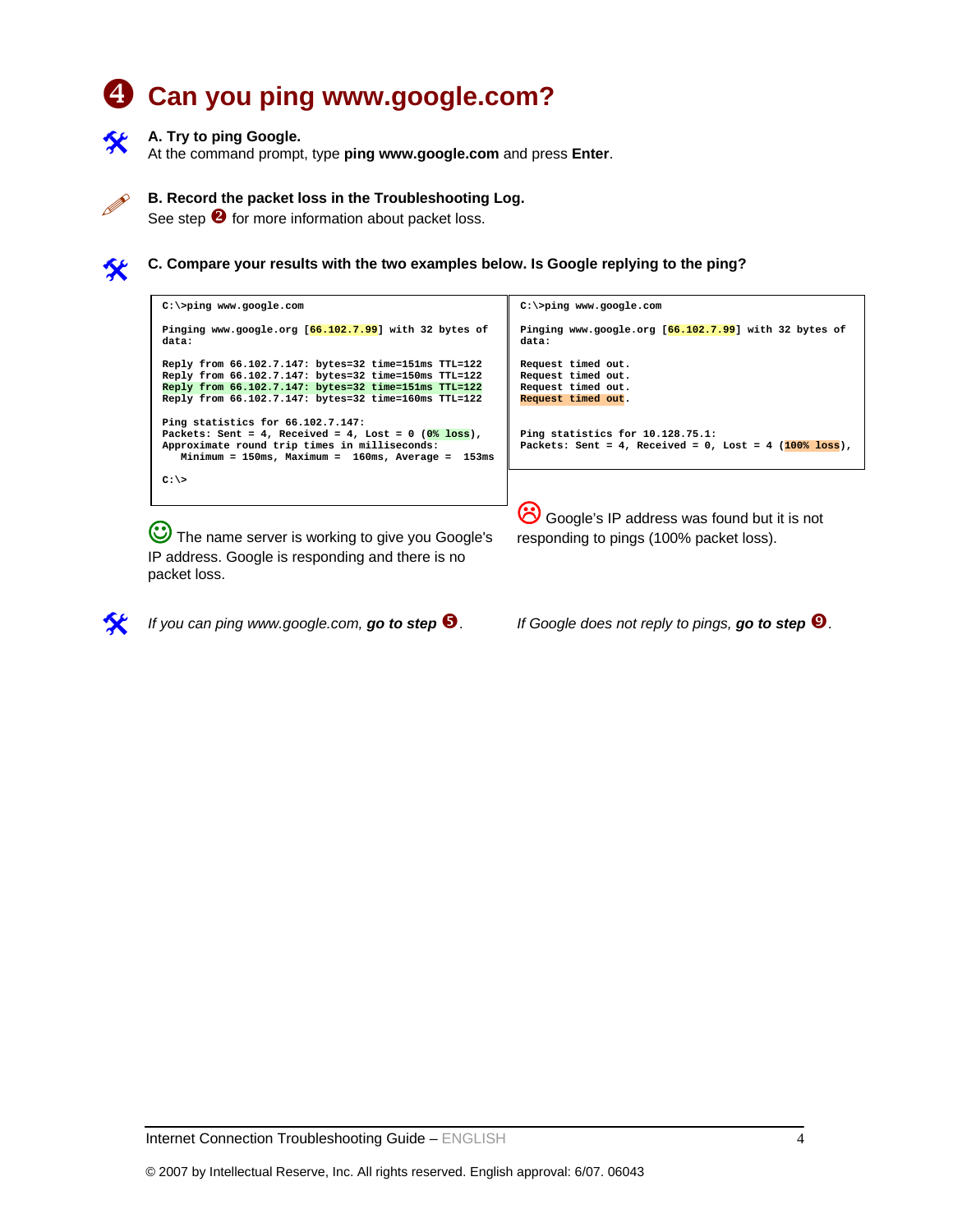# [ **Can you ping www.google.com?**



## **A. Try to ping Google.**

At the command prompt, type **ping www.google.com** and press **Enter**.



## **B. Record the packet loss in the Troubleshooting Log.**

See step  $\bullet$  for more information about packet loss.



# **C. Compare your results with the two examples below. Is Google replying to the ping?**



**C** The name server is working to give you Google's IP address. Google is responding and there is no packet loss.

*If you can ping www.google.com,* **go to step**  $\bullet$ . *If Google does not reply to pings, go to step*  $\bullet$ *.* 

responding to pings (100% packet loss).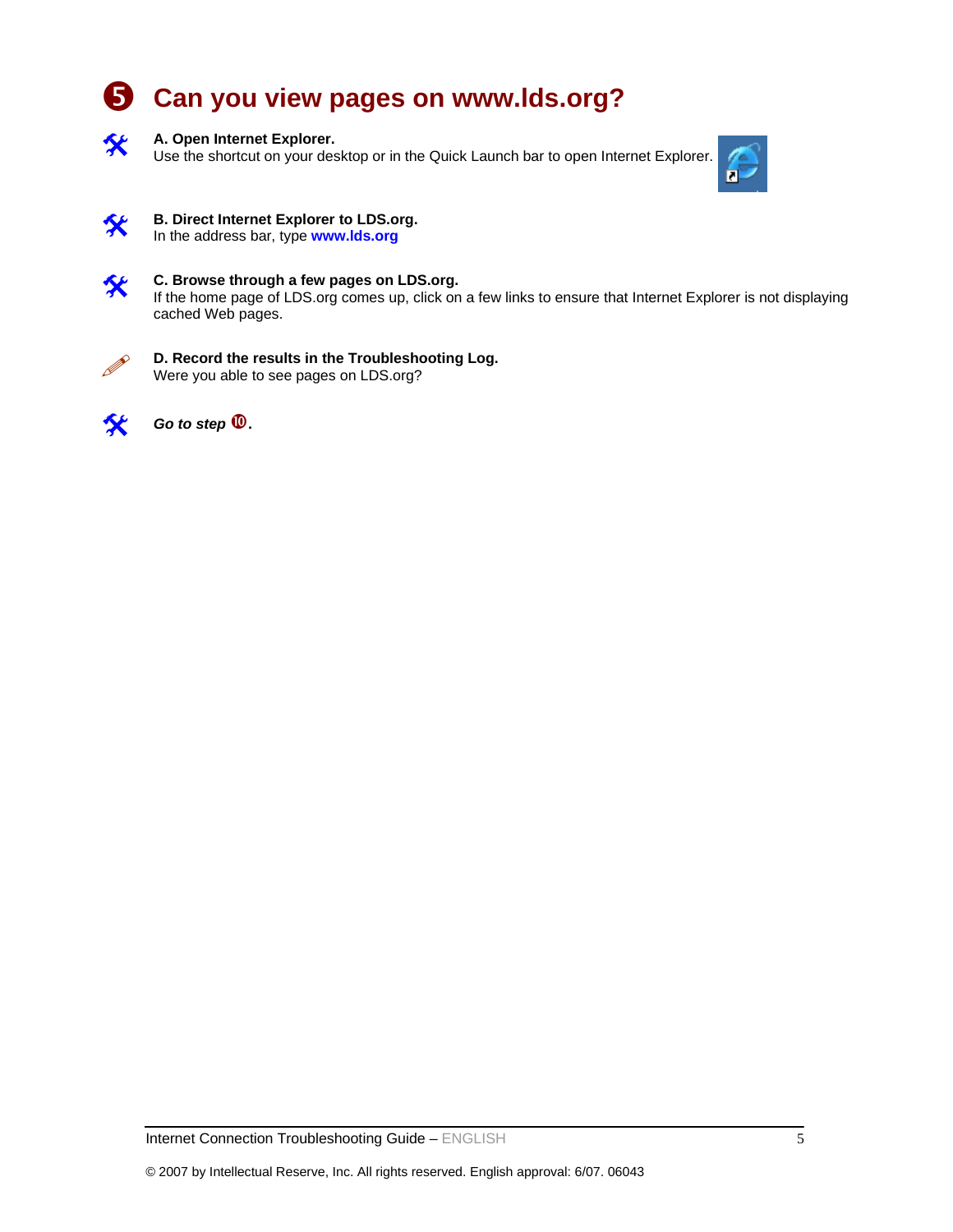# **6** Can you view pages on www.lds.org?



## A. Open Internet Explorer.

Use the shortcut on your desktop or in the Quick Launch bar to open Internet Explorer.





#### **B. Direct Internet Explorer to LDS.org.** In the address bar, type **www.lds.org**



# **C. Browse through a few pages on LDS.org.**<br>If the home page of LDS are someo up alial an

If the home page of LDS.org comes up, click on a few links to ensure that Internet Explorer is not displaying cached Web pages.



## **D. Record the results in the Troubleshooting Log.** Were you able to see pages on LDS.org?

*Go to step*  $\mathbf{\mathbf{\mathbb{O}}}.$ 

Internet Connection Troubleshooting Guide – ENGLISH 5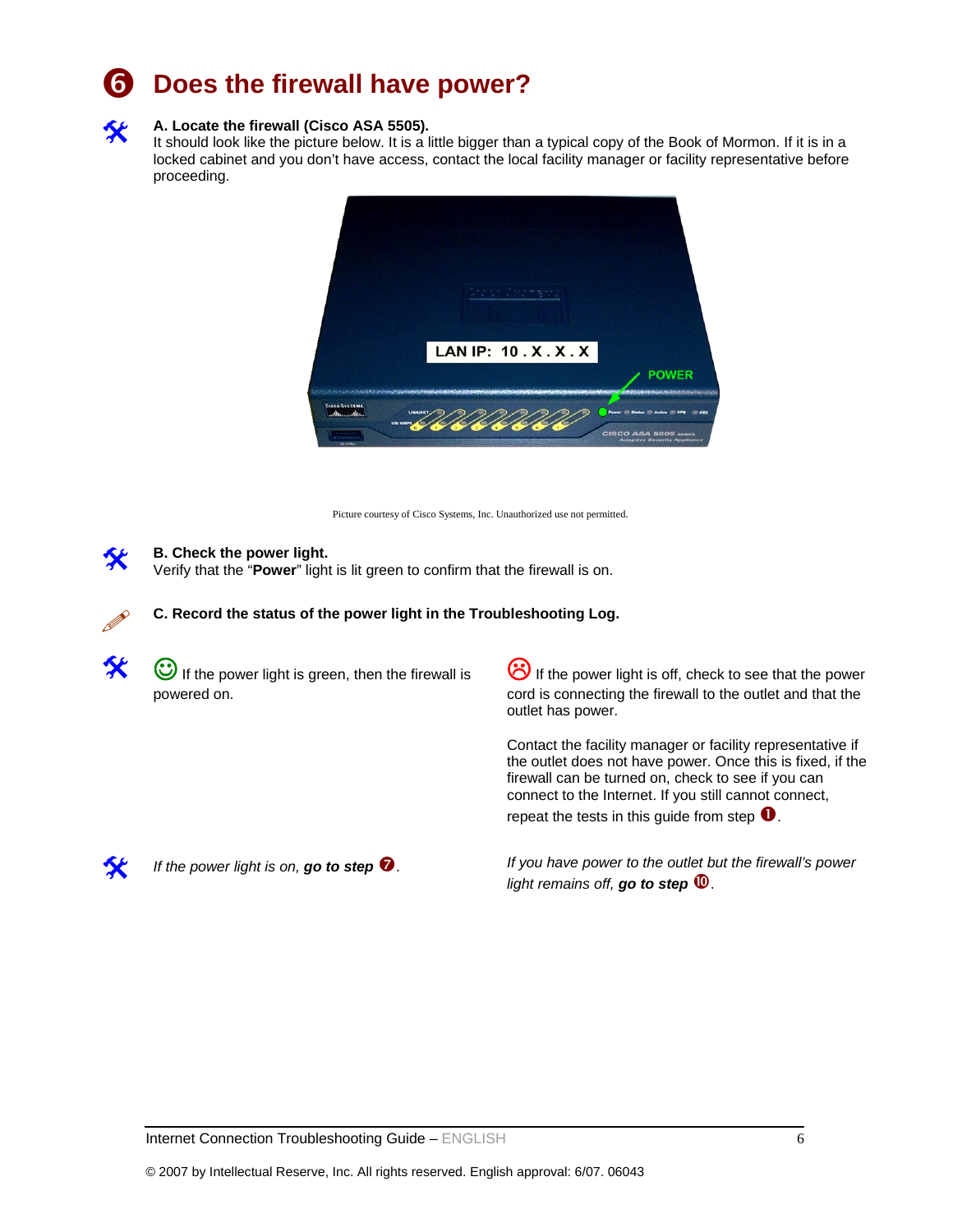# **Does the firewall have power?**



## A. Locate the firewall (Cisco ASA 5505).

It should look like the picture below. It is a little bigger than a typical copy of the Book of Mormon. If it is in a locked cabinet and you don't have access, contact the local facility manager or facility representative before proceeding.



Picture courtesy of Cisco Systems, Inc. Unauthorized use not permitted.



**B. Check the power light.** 

Verify that the "**Power**" light is lit green to confirm that the firewall is on.



**C. Record the status of the power light in the Troubleshooting Log.**



 $\ddot{\mathbf{C}}$  If the power light is green, then the firewall is powered on.

 $\ddot{\bullet}$  If the power light is off, check to see that the power cord is connecting the firewall to the outlet and that the outlet has power.

Contact the facility manager or facility representative if the outlet does not have power. Once this is fixed, if the firewall can be turned on, check to see if you can connect to the Internet. If you still cannot connect, repeat the tests in this guide from step  $\bullet$ .



*If the power light is on, go to step*  $\bullet$ . *If you have power to the outlet but the firewall's power light remains off,* **go to step**  $\mathbf{\Psi}$ .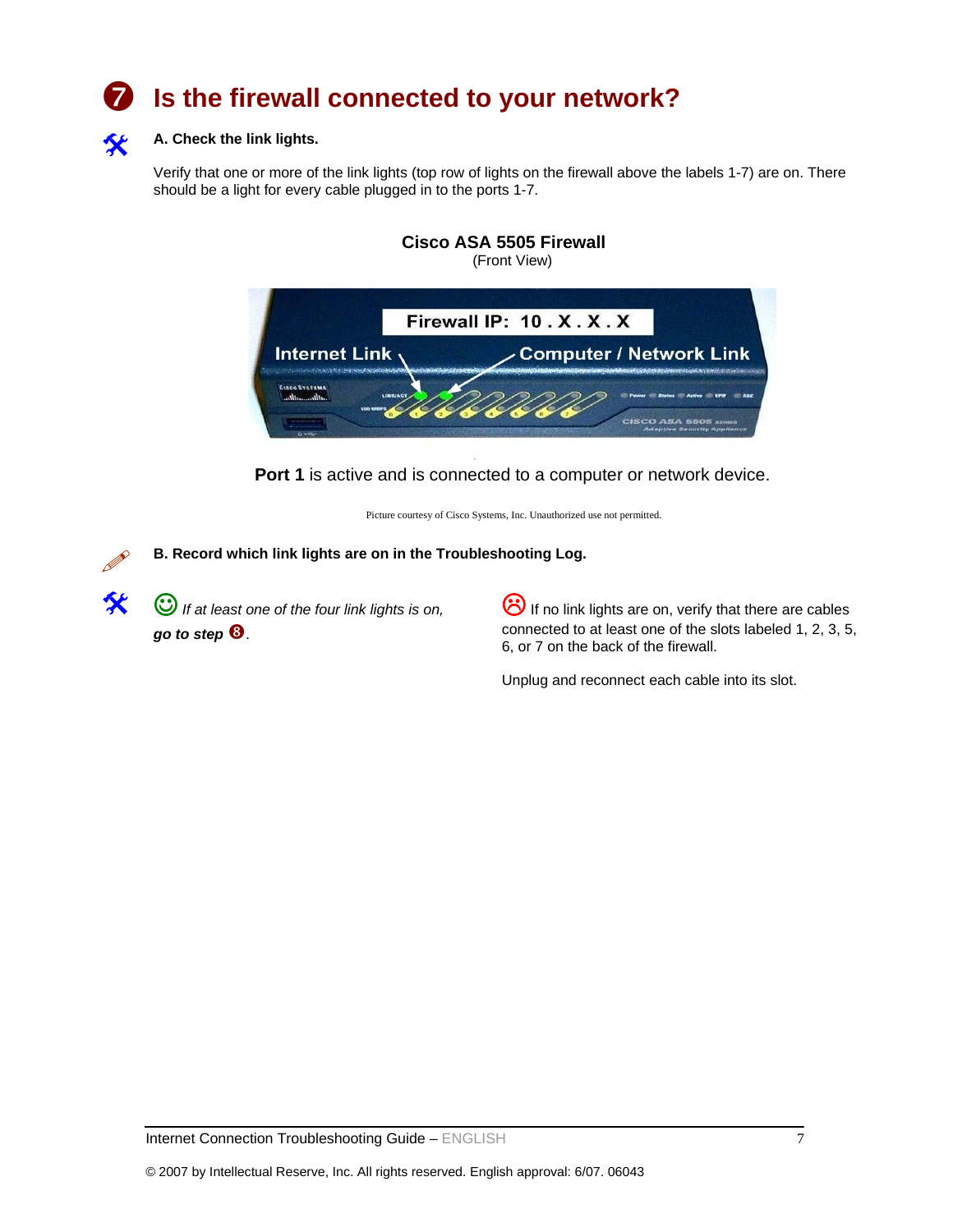# Is the firewall connected to your network?



## A. Check the link lights.

Verify that one or more of the link lights (top row of lights on the firewall above the labels 1-7) are on. There should be a light for every cable plugged in to the ports 1-7.



**Port 1** is active and is connected to a computer or network device.

Picture courtesy of Cisco Systems, Inc. Unauthorized use not permitted.

**B. Record which link lights are on in the Troubleshooting Log.**

**(C)** If at least one of the four link lights is on, *go to step* **0**.

If no link lights are on, verify that there are cables connected to at least one of the slots labeled 1, 2, 3, 5, 6, or 7 on the back of the firewall.

Unplug and reconnect each cable into its slot.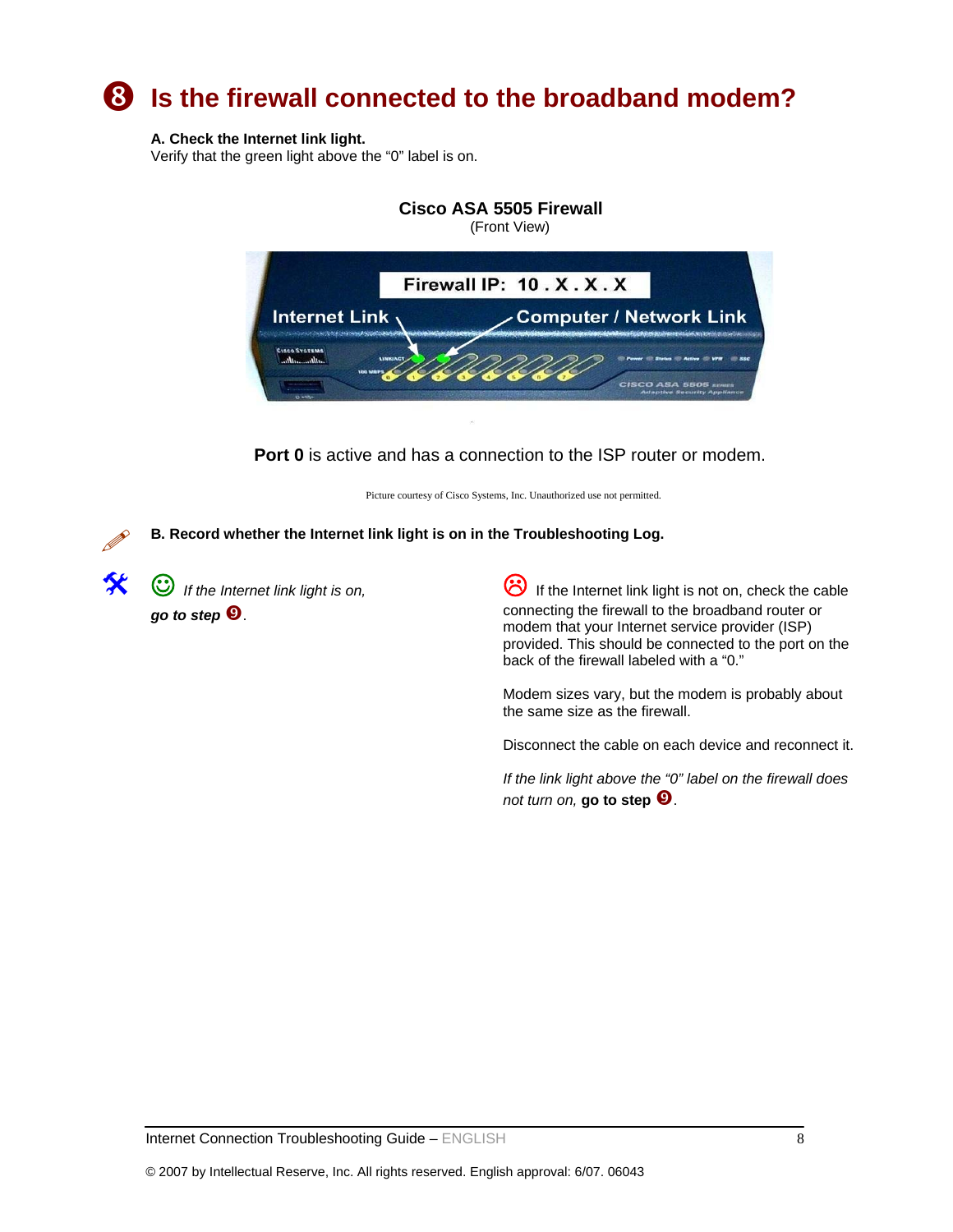# **8** Is the firewall connected to the broadband modem?

## **A. Check the Internet link light.**

Verify that the green light above the "0" label is on.



**Port 0** is active and has a connection to the ISP router or modem.

Picture courtesy of Cisco Systems, Inc. Unauthorized use not permitted.

**B. Record whether the Internet link light is on in the Troubleshooting Log.** 

 $\odot$  *If the Internet link light is on, go to step*  $\Theta$ .

If the Internet link light is not on, check the cable connecting the firewall to the broadband router or modem that your Internet service provider (ISP) provided. This should be connected to the port on the back of the firewall labeled with a "0."

Modem sizes vary, but the modem is probably about the same size as the firewall.

Disconnect the cable on each device and reconnect it.

*If the link light above the "0" label on the firewall does not turn on,* **go to step**  $\Theta$ .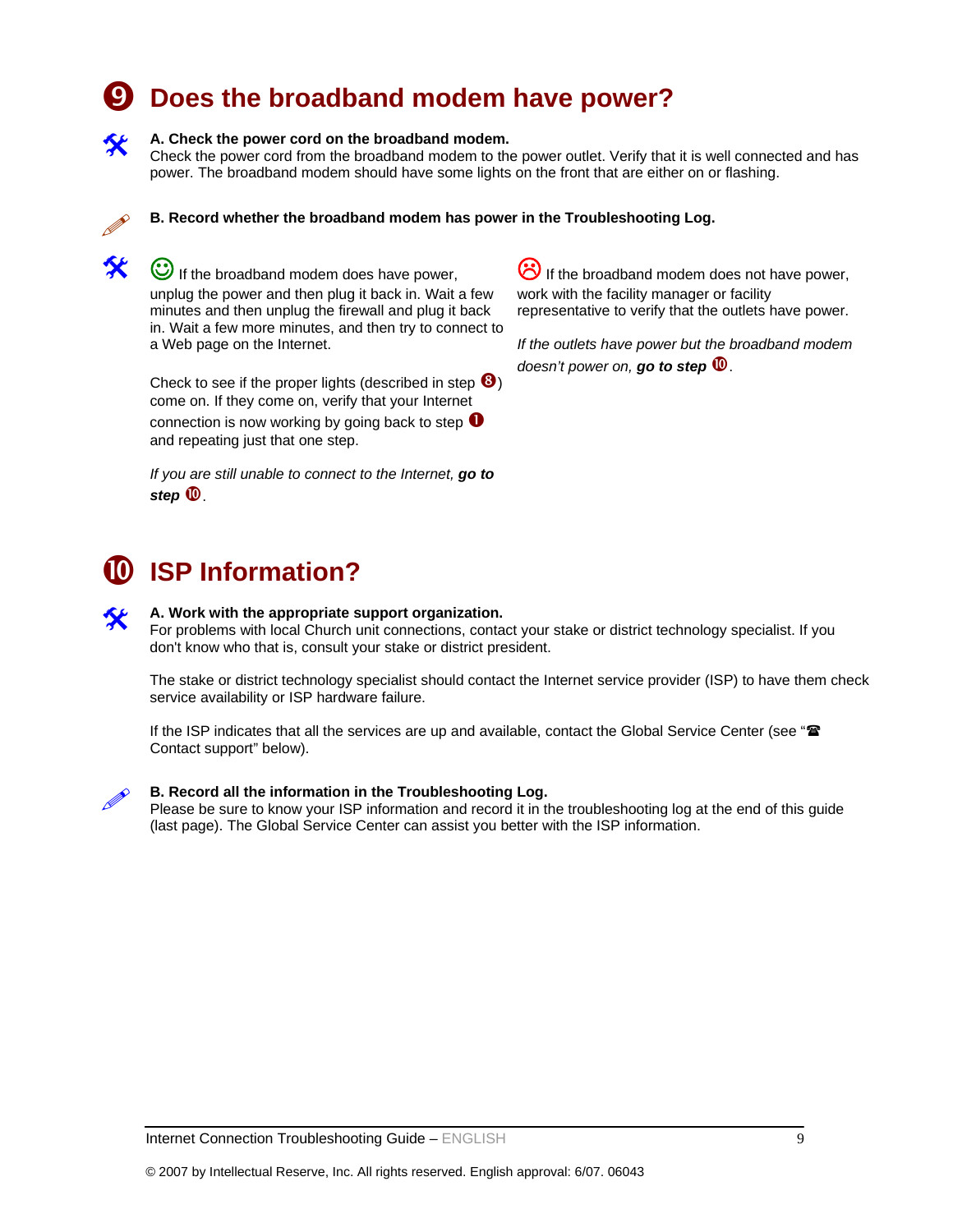# **9** Does the broadband modem have power?

### A. Check the power cord on the broadband modem.

Check the power cord from the broadband modem to the power outlet. Verify that it is well connected and has power. The broadband modem should have some lights on the front that are either on or flashing.



**B. Record whether the broadband modem has power in the Troubleshooting Log.** 

**C** If the broadband modem does have power, unplug the power and then plug it back in. Wait a few minutes and then unplug the firewall and plug it back in. Wait a few more minutes, and then try to connect to a Web page on the Internet.

Check to see if the proper lights (described in step  $\mathbf{\Theta}$ ) come on. If they come on, verify that your Internet connection is now working by going back to step  $\bullet$ and repeating just that one step.

*If you are still unable to connect to the Internet, go to*  step  $\mathbf{\mathbf{\mathbb{O}}}.$ 

 $\ddot{\odot}$  If the broadband modem does not have power, work with the facility manager or facility representative to verify that the outlets have power.

*If the outlets have power but the broadband modem doesn't power on, go to step* 

# **0** ISP Information?

## A. Work with the appropriate support organization.

For problems with local Church unit connections, contact your stake or district technology specialist. If you don't know who that is, consult your stake or district president.

The stake or district technology specialist should contact the Internet service provider (ISP) to have them check service availability or ISP hardware failure.

If the ISP indicates that all the services are up and available, contact the Global Service Center (see " $\mathbf{\mathbf{\hat{x}}}$ Contact support" below).



**B. Record all the information in the Troubleshooting Log.**<br>Please be sure to know your ISP information and record it in the troubleshooting log at the end of this guide (last page). The Global Service Center can assist you better with the ISP information.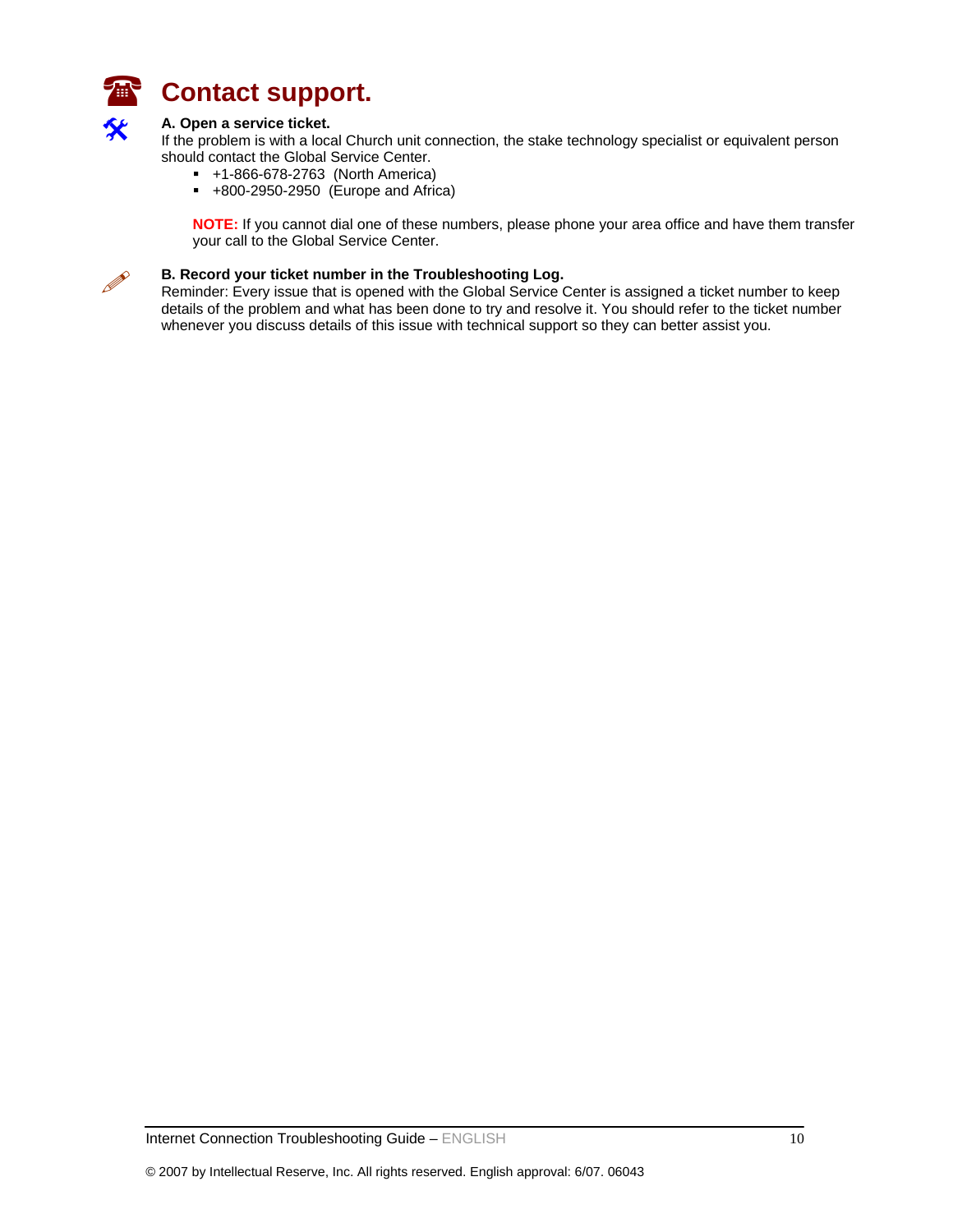

# **Contact support.**

### A. Open a service ticket.

If the problem is with a local Church unit connection, the stake technology specialist or equivalent person should contact the Global Service Center.

- +1-866-678-2763 (North America)
- $+800-2950-2950$  (Europe and Africa)

**NOTE:** If you cannot dial one of these numbers, please phone your area office and have them transfer your call to the Global Service Center.



**B. Record your ticket number in the Troubleshooting Log.**<br>Reminder: Every issue that is opened with the Global Service Center is assigned a ticket number to keep details of the problem and what has been done to try and resolve it. You should refer to the ticket number whenever you discuss details of this issue with technical support so they can better assist you.